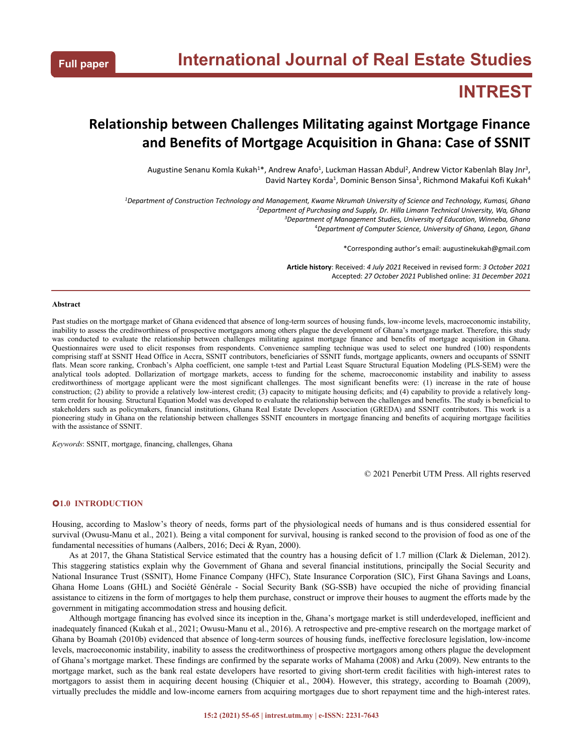# **INTREST**

## **Relationship between Challenges Militating against Mortgage Finance and Benefits of Mortgage Acquisition in Ghana: Case of SSNIT**

Augustine Senanu Komla Kukah<sup>1\*</sup>, Andrew Anafo<sup>1</sup>, Luckman Hassan Abdul<sup>2</sup>, Andrew Victor Kabenlah Blay Jnr<sup>3</sup>, 3  $\mathbf{y} = \mathbf{y} \mathbf{y}$ David Nartey Korda<sup>1</sup>, Dominic Benson Sinsa<sup>1</sup>, Richmond Makafui Kofi Kukah<sup>4</sup> 4

<sup>1</sup>Department of Construction Technology and Management, Kwame Nkrumah University of Science and Technology, Kumasi, Ghana *Department of Purchasing and Supply, Dr. Hilla Limann Technical University, Wa, Ghana Department of Management Studies, University of Education, Winneba, Ghana Department of Computer Science, University of Ghana, Legon, Ghana*

\*Corresponding author's email: augustinekukah@gmail.com

**Article history**: Received: *4 July 2021* Received in revised form: *3 October 2021* Accepted: *27 October 2021* Published online: *31 December 2021*

#### **Abstract**

Past studies on the mortgage market of Ghana evidenced that absence of long-term sources of housing funds, low-income levels, macroeconomic instability, inability to assess the creditworthiness of prospective mortgagors among others plague the development of Ghana's mortgage market. Therefore, this study was conducted to evaluate the relationship between challenges militating against mortgage finance and benefits of mortgage acquisition in Ghana. Questionnaires were used to elicit responses from respondents. Convenience sampling technique was used to select one hundred (100) respondents comprising staff atSSNIT Head Office in Accra, SSNIT contributors, beneficiaries of SSNIT funds, mortgage applicants, owners and occupants of SSNIT flats. Mean score ranking, Cronbach's Alpha coefficient, one sample t-test and Partial Least Square Structural Equation Modeling (PLS-SEM) were the analytical tools adopted. Dollarization of mortgage markets, access to funding for the scheme, macroeconomic instability and inability to assess creditworthiness of mortgage applicant were the most significant challenges. The most significant benefits were: (1) increase in the rate of house construction; (2) ability to provide a relatively low-interest credit; (3) capacity to mitigate housing deficits; and (4) capability to provide a relatively longterm credit for housing. Structural Equation Model was developed to evaluate the relationship between the challenges and benefits. The study is beneficial to stakeholders such as policymakers, financial institutions, Ghana Real Estate Developers Association (GREDA) and SSNIT contributors. This work is a pioneering study in Ghana on the relationship between challenges SSNIT encounters in mortgage financing and benefits of acquiring mortgage facilities with the assistance of SSNIT.

*Keywords*: SSNIT, mortgage, financing, challenges, Ghana

© 2021 Penerbit UTM Press. All rights reserved

## **1.0 INTRODUCTION**

Housing, according to Maslow's theory of needs, forms part of the physiological needs of humans and is thus considered essential for survival (Owusu-Manu et al., 2021). Being a vital component for survival, housing is ranked second to the provision of food as one of the fundamental necessities of humans (Aalbers, 2016; Deci & Ryan, 2000).

As at 2017, the Ghana Statistical Service estimated that the country has a housing deficit of 1.7 million (Clark & Dieleman, 2012). This staggering statistics explain why the Government of Ghana and several financial institutions, principally the Social Security and National Insurance Trust (SSNIT), Home Finance Company (HFC), State Insurance Corporation (SIC), First Ghana Savings and Loans, Ghana Home Loans (GHL) and Société Générale - Social Security Bank (SG-SSB) have occupied the niche of providing financial assistance to citizens in the form of mortgages to help them purchase, construct or improve their houses to augment the efforts made by the government in mitigating accommodation stress and housing deficit.

Although mortgage financing has evolved since its inception in the, Ghana's mortgage market is still underdeveloped, inefficient and inadequately financed (Kukah et al., 2021; Owusu-Manu et al., 2016). A retrospective and pre-emptive research on the mortgage market of Ghana by Boamah (2010b) evidenced that absence of long-term sources of housing funds, ineffective foreclosure legislation, low-income levels, macroeconomic instability, inability to assess the creditworthiness of prospective mortgagors among others plague the development of Ghana's mortgage market. These findings are confirmed by the separate works of Mahama (2008) and Arku (2009). New entrants to the mortgage market, such as the bank real estate developers have resorted to giving short-term credit facilities with high-interest rates to mortgagors to assist them in acquiring decent housing (Chiquier et al., 2004). However, this strategy, according to Boamah (2009), virtually precludes the middle and low-income earners from acquiring mortgages due to short repayment time and the high-interest rates.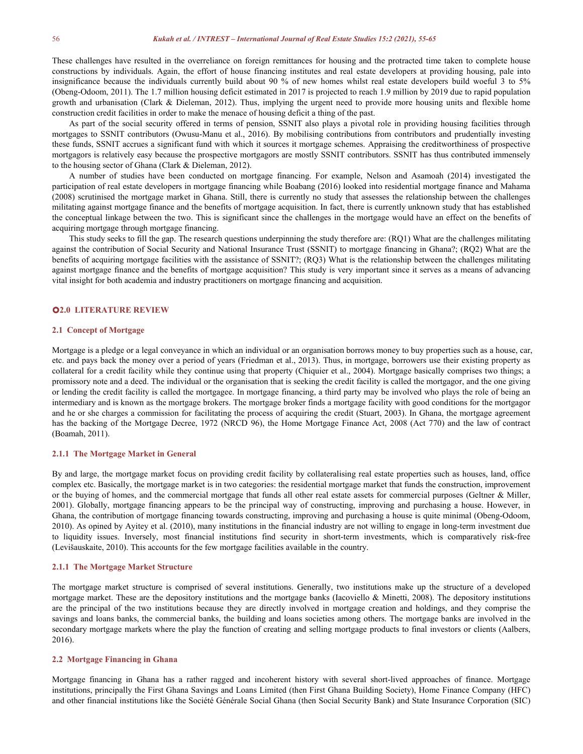These challenges have resulted in the overreliance on foreign remittances for housing and the protracted time taken to complete house constructions by individuals. Again, the effort of house financing institutes and real estate developers at providing housing, pale into insignificance because the individuals currently build about 90 % of new homes whilst real estate developers build woeful 3 to 5% (Obeng-Odoom, 2011). The 1.7 million housing deficit estimated in 2017 is projected to reach 1.9 million by 2019 due to rapid population growth and urbanisation (Clark & Dieleman, 2012). Thus, implying the urgent need to provide more housing units and flexible home construction credit facilities in order to make the menace of housing deficit a thing of the past.

As part of the social security offered in terms of pension, SSNIT also plays a pivotal role in providing housing facilities through mortgages to SSNIT contributors (Owusu-Manu et al., 2016). By mobilising contributions from contributors and prudentially investing these funds, SSNIT accrues a significant fund with which it sources it mortgage schemes. Appraising the creditworthiness of prospective mortgagors is relatively easy because the prospective mortgagors are mostly SSNIT contributors. SSNIT has thus contributed immensely to the housing sector of Ghana (Clark & Dieleman, 2012).

A number of studies have been conducted on mortgage financing. For example, Nelson and Asamoah (2014) investigated the participation of real estate developers in mortgage financing while Boabang (2016) looked into residential mortgage finance and Mahama (2008) scrutinised the mortgage market in Ghana. Still, there is currently no study that assesses the relationship between the challenges militating against mortgage finance and the benefits of mortgage acquisition. In fact, there is currently unknown study that has established the conceptual linkage between the two. This is significant since the challenges in the mortgage would have an effect on the benefits of acquiring mortgage through mortgage financing.

This study seeks to fill the gap. The research questions underpinning the study therefore are: (RQ1) What are the challenges militating against the contribution of Social Security and National Insurance Trust (SSNIT) to mortgage financing in Ghana?; (RQ2) What are the benefits of acquiring mortgage facilities with the assistance of SSNIT?; (RQ3) What is the relationship between the challenges militating against mortgage finance and the benefits of mortgage acquisition? This study is very importantsince it serves as a means of advancing vital insight for both academia and industry practitioners on mortgage financing and acquisition.

## **2.0 LITERATURE REVIEW**

#### **2.1 Concept of Mortgage**

Mortgage is a pledge or a legal conveyance in which an individual or an organisation borrows money to buy properties such as a house, car, etc. and pays back the money over a period of years (Friedman et al., 2013). Thus, in mortgage, borrowers use their existing property as collateral for a credit facility while they continue using that property (Chiquier et al., 2004). Mortgage basically comprises two things; a promissory note and a deed. The individual or the organisation that is seeking the credit facility is called the mortgagor, and the one giving or lending the credit facility is called the mortgagee. In mortgage financing, a third party may be involved who plays the role of being an intermediary and is known as the mortgage brokers. The mortgage broker finds a mortgage facility with good conditions for the mortgagor and he or she charges a commission for facilitating the process of acquiring the credit (Stuart, 2003). In Ghana, the mortgage agreement has the backing of the Mortgage Decree, 1972 (NRCD 96), the Home Mortgage Finance Act, 2008 (Act 770) and the law of contract (Boamah, 2011).

#### **2.1.1 The Mortgage Market in General**

By and large, the mortgage market focus on providing credit facility by collateralising real estate properties such as houses, land, office complex etc. Basically, the mortgage market is in two categories: the residential mortgage market that funds the construction, improvement or the buying of homes, and the commercial mortgage that funds all other real estate assets for commercial purposes (Geltner & Miller, 2001). Globally, mortgage financing appears to be the principal way of constructing, improving and purchasing a house. However, in Ghana, the contribution of mortgage financing towards constructing, improving and purchasing a house is quite minimal (Obeng-Odoom, 2010). As opined by Ayitey et al. (2010), many institutions in the financial industry are not willing to engage in long-term investment due to liquidity issues. Inversely, most financial institutions find security in short-term investments, which is comparatively risk-free (Levišauskaite, 2010). This accounts for the few mortgage facilities available in the country.

#### **2.1.1 The Mortgage Market Structure**

The mortgage market structure is comprised of several institutions. Generally, two institutions make up the structure of a developed mortgage market. These are the depository institutions and the mortgage banks (Iacoviello & Minetti, 2008). The depository institutions are the principal of the two institutions because they are directly involved in mortgage creation and holdings, and they comprise the savings and loans banks, the commercial banks, the building and loans societies among others. The mortgage banks are involved in the secondary mortgage markets where the play the function of creating and selling mortgage products to final investors or clients (Aalbers, 2016).

#### **2.2 Mortgage Financing in Ghana**

Mortgage financing in Ghana has a rather ragged and incoherent history with several short-lived approaches of finance. Mortgage institutions, principally the First Ghana Savings and Loans Limited (then First Ghana Building Society), Home Finance Company (HFC) and other financial institutions like the Société Générale Social Ghana (then Social Security Bank) and State Insurance Corporation (SIC)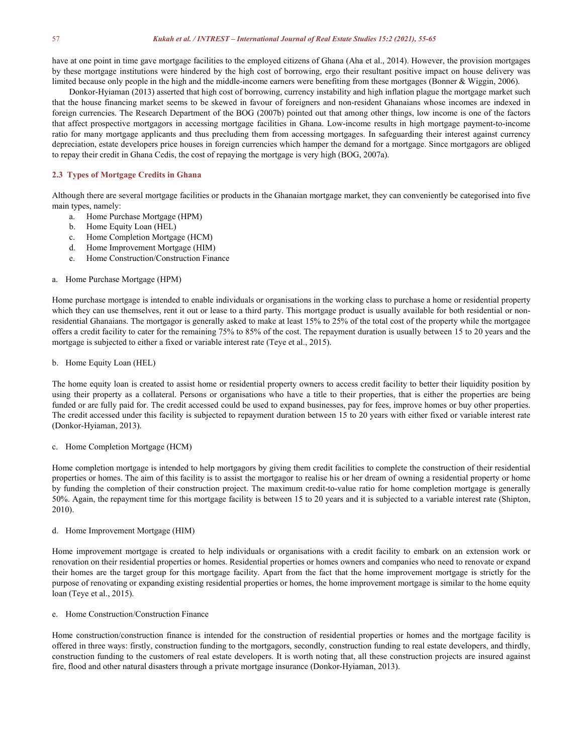have at one point in time gave mortgage facilities to the employed citizens of Ghana (Aha et al., 2014). However, the provision mortgages by these mortgage institutions were hindered by the high cost of borrowing, ergo their resultant positive impact on house delivery was limited because only people in the high and the middle-income earners were benefiting from these mortgages (Bonner & Wiggin, 2006).

Donkor-Hyiaman (2013) asserted that high cost of borrowing, currency instability and high inflation plague the mortgage market such that the house financing market seems to be skewed in favour of foreigners and non-resident Ghanaians whose incomes are indexed in foreign currencies. The Research Department of the BOG (2007b) pointed out that among other things, low income is one of the factors that affect prospective mortgagors in accessing mortgage facilities in Ghana. Low-income results in high mortgage payment-to-income ratio for many mortgage applicants and thus precluding them from accessing mortgages. In safeguarding their interest against currency depreciation, estate developers price houses in foreign currencies which hamper the demand for a mortgage. Since mortgagors are obliged to repay their credit in Ghana Cedis, the cost of repaying the mortgage is very high (BOG, 2007a).

#### **2.3 Types ofMortgage Credits in Ghana**

Although there are several mortgage facilities or products in the Ghanaian mortgage market, they can conveniently be categorised into five main types, namely:

- a. Home Purchase Mortgage (HPM)
- b. Home Equity Loan (HEL)
- c. Home Completion Mortgage (HCM)
- d. Home Improvement Mortgage (HIM)
- e. Home Construction/Construction Finance

#### a. Home Purchase Mortgage (HPM)

Home purchase mortgage is intended to enable individuals or organisations in the working class to purchase a home or residential property which they can use themselves, rent it out or lease to a third party. This mortgage product is usually available for both residential or nonresidential Ghanaians. The mortgagor is generally asked to make at least 15% to 25% of the total cost of the property while the mortgagee offers a credit facility to cater for the remaining 75% to 85% ofthe cost. The repayment duration is usually between 15 to 20 years and the mortgage is subjected to either a fixed or variable interest rate (Teye et al., 2015).

#### b. Home Equity Loan (HEL)

The home equity loan is created to assist home or residential property owners to access credit facility to better their liquidity position by using their property as a collateral. Persons or organisations who have a title to their properties, that is either the properties are being funded or are fully paid for. The credit accessed could be used to expand businesses, pay for fees, improve homes or buy other properties. The credit accessed under this facility is subjected to repayment duration between 15 to 20 years with either fixed or variable interestrate (Donkor-Hyiaman, 2013).

#### c. Home Completion Mortgage (HCM)

Home completion mortgage is intended to help mortgagors by giving them credit facilities to complete the construction of their residential properties or homes. The aim of this facility is to assist the mortgagor to realise his or her dream of owning a residential property or home by funding the completion of their construction project. The maximum credit-to-value ratio for home completion mortgage isgenerally 50%. Again, the repayment time for this mortgage facility is between 15 to 20 years and it is subjected to a variable interest rate (Shipton, 2010).

#### d. Home Improvement Mortgage (HIM)

Home improvement mortgage is created to help individuals or organisations with a credit facility to embark on an extension work or renovation on their residential properties or homes. Residential properties or homes owners and companies who need to renovate or expand their homes are the target group for this mortgage facility. Apart from the fact that the home improvement mortgage isstrictly for the purpose of renovating or expanding existing residential properties orhomes, the home improvement mortgage is similar to the home equity loan (Teye et al., 2015).

## e. Home Construction/Construction Finance

Home construction/construction finance is intended for the construction of residential properties or homes and the mortgage facility is offered in three ways: firstly, construction funding to the mortgagors, secondly, construction funding to real estate developers, and thirdly, construction funding to the customers of real estate developers. It is worth noting that, all these construction projects are insured against fire, flood and other natural disasters through a private mortgage insurance (Donkor-Hyiaman, 2013).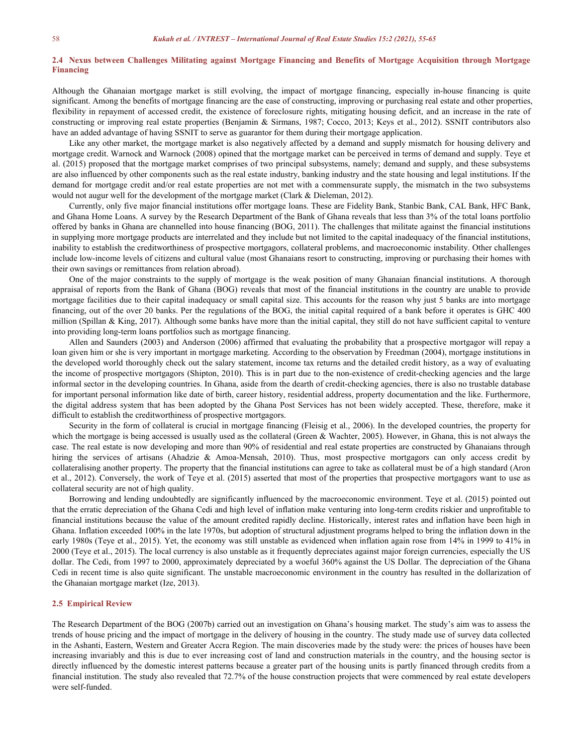## 2.4 Nexus between Challenges Militating against Mortgage Financing and Benefits of Mortgage Acquisition through Mortgage **Financing**

Although the Ghanaian mortgage market is still evolving, the impact of mortgage financing, especially in-house financing is quite significant. Among the benefits of mortgage financing are the ease of constructing, improving or purchasing real estate and other properties, flexibility in repayment of accessed credit, the existence of foreclosure rights, mitigating housing deficit, and an increase in the rate of constructing or improving real estate properties (Benjamin & Sirmans, 1987; Cocco, 2013; Keys et al.,2012). SSNIT contributors also have an added advantage of having SSNIT to serve as guarantor for them during their mortgage application.

Like any other market, the mortgage market is also negatively affected by a demand and supply mismatch for housing delivery and mortgage credit. Warnock and Warnock (2008) opined that the mortgage market can be perceived in terms of demand and supply. Teye et al. (2015) proposed that the mortgage market comprises of two principal subsystems, namely; demand and supply, and these subsystems are also influenced by other components such as the real estate industry, banking industry and the state housing and legal institutions. If the demand for mortgage credit and/or real estate properties are not met with a commensurate supply, the mismatch in the two subsystems would not augur well for the development of the mortgage market (Clark & Dieleman, 2012).

Currently, only five major financial institutions offer mortgage loans. These are Fidelity Bank, Stanbic Bank, CAL Bank, HFC Bank, and Ghana Home Loans. A survey by the Research Department of the Bank of Ghana reveals that less than 3% of the total loans portfolio offered by banks in Ghana are channelled into house financing (BOG, 2011). The challenges that militate against the financial institutions in supplying more mortgage products are interrelated and they include but not limited to the capital inadequacy of the financial institutions, inability to establish the creditworthiness of prospective mortgagors, collateral problems, and macroeconomic instability. Other challenges include low-income levels of citizens and cultural value (most Ghanaians resort to constructing, improving or purchasing their homes with their own savings or remittances from relation abroad).

One of the major constraints to the supply of mortgage is the weak position of many Ghanaian financial institutions. A thorough appraisal of reports from the Bank of Ghana (BOG) reveals that most of the financial institutions in the country are unable to provide mortgage facilities due to their capital inadequacy or small capital size. This accounts for the reason why just 5 banks are into mortgage financing, out of the over 20 banks. Per the regulations of the BOG, the initial capital required of a bank before it operates is GHC 400 million (Spillan & King, 2017). Although some banks have more than the initial capital, they still do not have sufficient capital to venture into providing long-term loans portfolios such as mortgage financing.

Allen and Saunders (2003) and Anderson (2006) affirmed that evaluating the probability that a prospective mortgagor will repay a loan given him or she is very important in mortgage marketing. According to the observation by Freedman (2004), mortgage institutions in the developed world thoroughly check outthe salary statement, income tax returns and the detailed credit history, as a way of evaluating the income of prospective mortgagors (Shipton, 2010). This is in part due to the non-existence of credit-checking agencies and the large informal sector in the developing countries. In Ghana, aside from the dearth of credit-checking agencies, there is also no trustable database for important personal information like date of birth, career history, residential address, property documentation and the like. Furthermore, the digital address system that has been adopted by the Ghana Post Services has not been widely accepted. These, therefore, make it difficult to establish the creditworthiness of prospective mortgagors.

Security in the form of collateral is crucial in mortgage financing (Fleisig et al., 2006). In the developed countries, the property for which the mortgage is being accessed is usually used as the collateral (Green & Wachter, 2005). However, in Ghana, this is not always the case. The real estate is now developing and more than 90% of residential and real estate properties are constructed by Ghanaians through hiring the services of artisans (Ahadzie & Amoa-Mensah, 2010). Thus, most prospective mortgagors can only access credit by collateralising another property. The property that the financial institutions can agree to take ascollateral must be of a high standard (Aron et al., 2012). Conversely, the work of Teye et al. (2015) asserted that most of the properties that prospective mortgagors want to use as collateral security are not of high quality.

Borrowing and lending undoubtedly are significantly influenced by the macroeconomic environment. Teye et al. (2015) pointed out that the erratic depreciation of the Ghana Cedi and high level of inflation make venturing into long-term credits riskier and unprofitable to financial institutions because the value of the amount credited rapidly decline. Historically, interest rates and inflation have been high in Ghana. Inflation exceeded 100% in the late 1970s, but adoption of structural adjustment programs helped to bring the inflation down in the early 1980s (Teye et al., 2015). Yet, the economy was still unstable as evidenced when inflation again rose from 14% in 1999 to 41% in 2000 (Teye et al., 2015). The local currency is also unstable as it frequently depreciates against major foreign currencies, especially the US dollar. The Cedi, from 1997 to 2000, approximately depreciated by a woeful 360% against the US Dollar. The depreciation of the Ghana Cedi in recent time is also quite significant. The unstable macroeconomic environment in the country has resulted in the dollarization of the Ghanaian mortgage market (Ize, 2013).

#### **2.5 Empirical Review**

The Research Department of the BOG (2007b) carried out an investigation on Ghana's housing market. The study's aim was to assess the trends of house pricing and the impact of mortgage in the delivery of housing in the country. The study made use of survey data collected in the Ashanti, Eastern, Western and Greater Accra Region. The main discoveries made by the study were: the prices of houses have been increasing invariably and this is due to ever increasing cost of land and construction materials in the country, and the housing sector is directly influenced by the domestic interest patterns because a greater part of the housing units is partly financed through credits from a financial institution. The study also revealed that 72.7% of the house construction projects that were commenced by real estate developers were self-funded.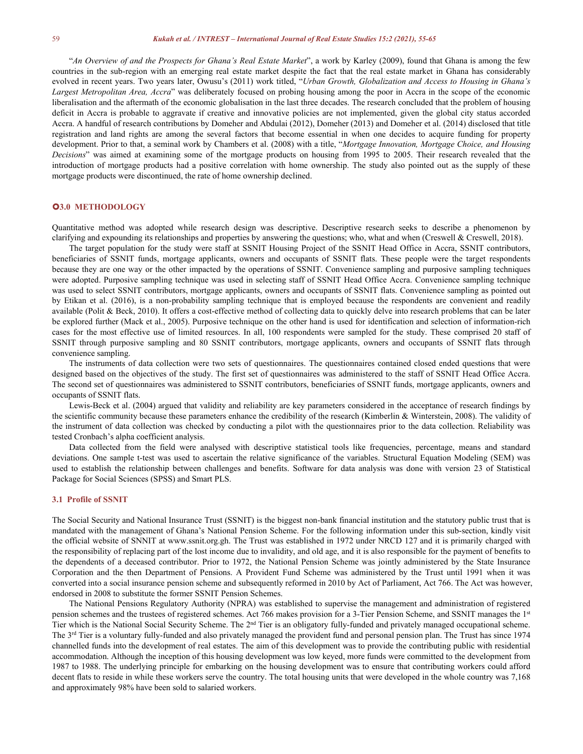"An Overview of and the Prospects for Ghana's Real Estate Market", a work by Karley (2009), found that Ghana is among the few countries in the sub-region with an emerging real estate market despite the fact that the real estate market in Ghana has considerably evolved in recent years. Two years later,Owusu's (2011) work titled, "*Urban Growth, Globalization and Access to Housing in Ghana's Largest Metropolitan Area, Accra*" was deliberately focused on probing housing among the poor in Accra in the scope of the economic liberalisation and the aftermath of the economic globalisation in the last three decades. The research concluded that the problem of housing deficit in Accra is probable to aggravate if creative and innovative policies are not implemented, given the global city status accorded Accra. A handful of research contributions by Domeher and Abdulai (2012), Domeher (2013) and Domeher etal. (2014) disclosed that title registration and land rights are among the several factors that become essential in when one decides to acquire funding for property development. Prior to that, a seminal work by Chambers et al. (2008) with a title, "*Mortgage Innovation, Mortgage Choice, and Housing Decisions*" was aimed at examining some of the mortgage products on housing from 1995 to 2005. Their research revealed that the introduction of mortgage products had a positive correlation with home ownership. The study also pointed out as the supply of these mortgage products were discontinued, the rate of home ownership declined.

## **3.0 METHODOLOGY**

Quantitative method was adopted while research design was descriptive. Descriptive research seeks to describe a phenomenon by clarifying and expounding its relationships and properties by answering the questions; who, what and when (Creswell & Creswell, 2018).

The target population for the study were staff atSSNIT Housing Project of the SSNIT Head Office in Accra, SSNIT contributors, beneficiaries of SSNIT funds, mortgage applicants, owners and occupants of SSNIT flats. These people were the target respondents because they are one way or the other impacted by the operations of SSNIT. Convenience sampling and purposive sampling techniques were adopted. Purposive sampling technique was used in selecting staff of SSNIT Head Office Accra. Convenience sampling technique was used to select SSNIT contributors, mortgage applicants, owners and occupants of SSNIT flats. Convenience sampling as pointed out by Etikan et al. (2016), is a non-probability sampling technique that is employed because the respondents are convenient and readily available (Polit & Beck, 2010). It offers a cost-effective method of collecting data to quickly delve into research problems that can be later be explored further (Mack et al., 2005). Purposive technique on the other hand is used for identification and selection of information-rich cases for the most effective use of limited resources. In all, 100 respondents were sampled for the study. These comprised 20 staff of SSNIT through purposive sampling and 80 SSNIT contributors, mortgage applicants, owners and occupants of SSNIT flats through convenience sampling.

The instruments of data collection were two sets of questionnaires. The questionnaires contained closed ended questions that were designed based on the objectives of the study. The first set of questionnaires was administered to the staffof SSNIT Head Office Accra. The second set of questionnaires was administered to SSNIT contributors, beneficiaries of SSNIT funds, mortgage applicants, owners and occupants of SSNIT flats.

Lewis-Beck et al. (2004) argued that validity and reliability are key parameters considered in the acceptance of research findings by the scientific community because these parameters enhance the credibility of the research (Kimberlin & Winterstein, 2008). The validity of the instrument of data collection was checked by conducting a pilot with the questionnaires prior to the data collection. Reliability was tested Cronbach's alpha coefficient analysis.

Data collected from the field were analysed with descriptive statistical tools like frequencies, percentage, means and standard deviations. One sample t-test was used to ascertain the relative significance of the variables. Structural Equation Modeling (SEM) was used to establish the relationship between challenges and benefits. Software for data analysis was done with version 23 of Statistical Package for Social Sciences (SPSS) and Smart PLS.

#### **3.1 Profile of SSNIT**

The Social Security and National Insurance Trust (SSNIT) is the biggest non-bank financial institution and the statutory public trust that is mandated with the management of Ghana's National Pension Scheme. For the following information under this sub-section, kindly visit the official website of SNNIT at www.ssnit.org.gh. The Trust was established in 1972 under NRCD 127 and it is primarily charged with the responsibility of replacing part of the lost income due to invalidity, and old age, and it is also responsible for the payment of benefits to the dependents of a deceased contributor. Prior to 1972, the National Pension Scheme was jointly administered by the State Insurance Corporation and the then Department of Pensions. A Provident Fund Scheme was administered by the Trust until 1991 when it was converted into a social insurance pension scheme and subsequently reformed in 2010 by Act of Parliament, Act 766. The Act was however, endorsed in 2008 to substitute the former SSNIT Pension Schemes.

The National Pensions Regulatory Authority (NPRA) was established to supervise the management and administration of registered pension schemes and the trustees of registered schemes. Act 766 makes provision for a 3-Tier Pension Scheme, and SSNIT manages the 1<sup>st</sup> Tier which is the National Social Security Scheme. The 2<sup>nd</sup> Tier is an obligatory fully-funded and privately managed occupational scheme. The 3<sup>rd</sup> Tier is a voluntary fully-funded and also privately managed the provident fund and personal pension plan. The Trust has since 1974 channelled funds into the development of real estates. The aim of this development was to provide the contributing public with residential accommodation. Although the inception of this housing development was low keyed, more funds were committed to the development from 1987 to 1988. The underlying principle for embarking on the housing development was to ensure that contributing workers could afford decent flats to reside in while these workers serve the country. The total housing units that were developed in the whole country was 7,168 and approximately 98% have been sold to salaried workers.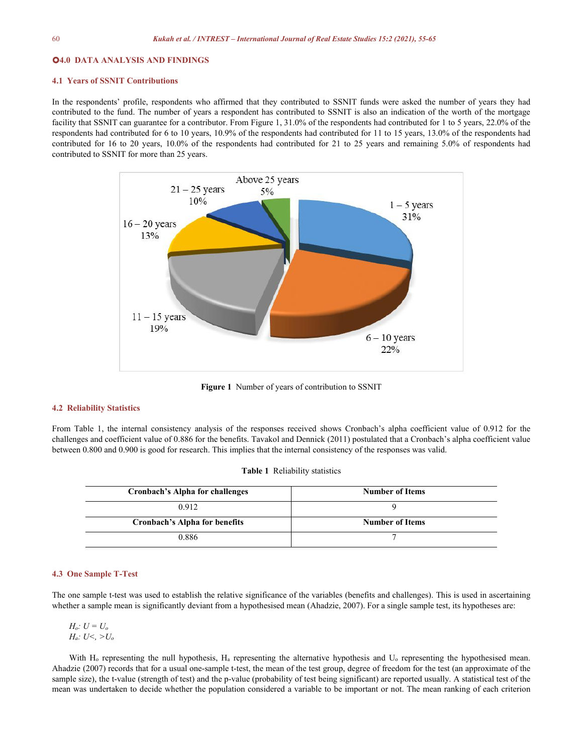#### **4.0 DATA ANALYSIS AND FINDINGS**

#### **4.1 Years of SSNIT Contributions**

In the respondents' profile, respondents who affirmed that they contributed to SSNIT funds were asked the number of years they had contributed to the fund. The number of years a respondent has contributed to SSNIT is also an indication of the worth of the mortgage facility that SSNIT can guarantee for a contributor. From Figure 1, 31.0% of the respondents had contributed for 1 to 5 years, 22.0% of the respondents had contributed for 6 to 10 years, 10.9% of the respondents had contributed for 11 to 15 years, 13.0% of the respondents had contributed for 16 to 20 years, 10.0% of the respondents had contributed for 21 to 25 years and remaining 5.0% of respondents had contributed to SSNIT for more than 25 years.



Figure 1 Number of years of contribution to SSNIT

## **4.2 Reliability Statistics**

From Table 1, the internal consistency analysis of the responses received shows Cronbach's alpha coefficient value of 0.912 for the challenges and coefficient value of 0.886 for the benefits. Tavakol and Dennick (2011) postulated that a Cronbach's alpha coefficient value between 0.800 and 0.900 is good for research. This implies that the internal consistency of the responses was valid.

|  | <b>Table 1</b> Reliability statistics |  |
|--|---------------------------------------|--|
|--|---------------------------------------|--|

| Cronbach's Alpha for challenges      | <b>Number of Items</b> |
|--------------------------------------|------------------------|
| 0.912                                |                        |
| <b>Cronbach's Alpha for benefits</b> | <b>Number of Items</b> |
| 0.886                                |                        |

#### **4.3 One Sample T-Test**

The one sample t-test was used to establish the relative significance of the variables (benefits and challenges). This is used in ascertaining whether a sample mean is significantly deviant from a hypothesised mean (Ahadzie, 2007). For a single sample test, its hypotheses are:

$$
H_o: U = U_o
$$
  

$$
H_a: U <, > U_o
$$

With H<sub>o</sub> representing the null hypothesis, H<sub>a</sub> representing the alternative hypothesis and U<sub>o</sub> representing the hypothesised mean. Ahadzie (2007) records that for a usual one-sample t-test, the mean of the test group, degree of freedom for the test (an approximate of the sample size), the t-value (strength of test) and the p-value (probability of test being significant) are reported usually. A statistical test of the mean was undertaken to decide whether the population considered a variable to be important or not. The mean ranking of each criterion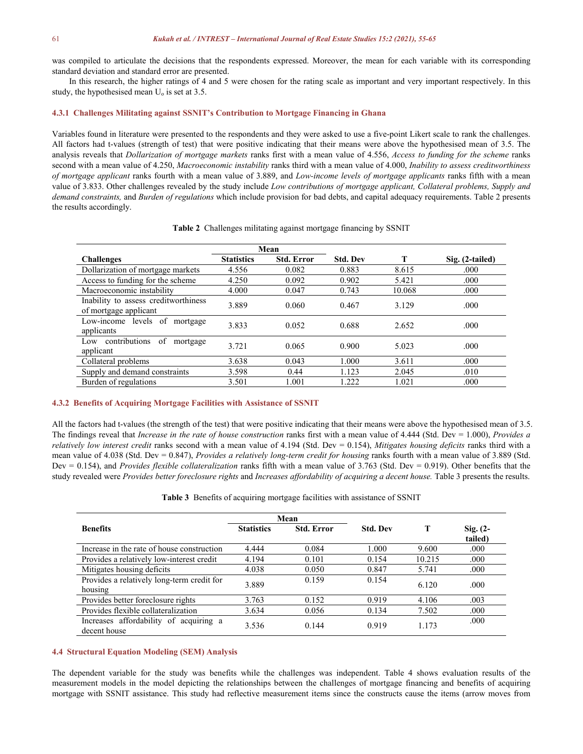was compiled to articulate the decisions that the respondents expressed. Moreover, the mean for each variable with its corresponding standard deviation and standard error are presented.

In this research, the higher ratings of 4 and 5 were chosen for the rating scale as important and very important respectively. In this study, the hypothesised mean  $U_0$  is set at 3.5.

#### **4.3.1 Challenges Militating against SSNIT's Contribution toMortgage Financing in Ghana**

Variables found in literature were presented to the respondents and they were asked to use a five-point Likert scale to rank the challenges. All factors had t-values (strength of test) that were positive indicating that their means were above the hypothesised mean of 3.5. The analysis reveals that *Dollarization of mortgage markets* ranks first with a mean value of 4.556, *Access to funding for the scheme* ranks second with a mean value of 4.250, *Macroeconomic instability* ranks third with a mean value of 4.000, *Inability to assess creditworthiness of mortgage applicant* ranks fourth with a mean value of 3.889, and *Low-income levels of mortgage applicants* ranks fifth with a mean value of 3.833. Other challenges revealed by the study include *Low contributions of mortgage applicant, Collateral problems, Supply and demand constraints,* and *Burden ofregulations* which include provision for bad debts, and capital adequacy requirements. Table 2 presents the results accordingly.

|                                                               | Mean              |                   |                 |        |                 |
|---------------------------------------------------------------|-------------------|-------------------|-----------------|--------|-----------------|
| <b>Challenges</b>                                             | <b>Statistics</b> | <b>Std. Error</b> | <b>Std. Dev</b> |        | Sig. (2-tailed) |
| Dollarization of mortgage markets                             | 4.556             | 0.082             | 0.883           | 8.615  | .000            |
| Access to funding for the scheme                              | 4.250             | 0.092             | 0.902           | 5.421  | .000            |
| Macroeconomic instability                                     | 4.000             | 0.047             | 0.743           | 10.068 | .000            |
| Inability to assess creditworthiness<br>of mortgage applicant | 3.889             | 0.060             | 0.467           | 3.129  | .000            |
| Low-income levels of mortgage<br>applicants                   | 3.833             | 0.052             | 0.688           | 2.652  | .000            |
| Low contributions<br>of<br>mortgage<br>applicant              | 3.721             | 0.065             | 0.900           | 5.023  | .000            |
| Collateral problems                                           | 3.638             | 0.043             | 1.000           | 3.611  | .000            |
| Supply and demand constraints                                 | 3.598             | 0.44              | 1.123           | 2.045  | .010            |
| Burden of regulations                                         | 3.501             | 1.001             | 1.222           | 1.021  | .000            |

#### **Table 2** Challenges militating against mortgage financing by SSNIT

#### **4.3.2 Benefits ofAcquiring Mortgage Facilities with Assistance of SSNIT**

All the factors had t-values (the strength of the test) that were positive indicating that their means were above the hypothesised mean of 3.5. The findings reveal that *Increase in the rate of house construction* ranks first with a mean value of 4.444 (Std. Dev = 1.000), *Provides a relatively low interest credit* ranks second with a mean value of 4.194 (Std. Dev = 0.154), *Mitigates housing deficits* ranks third with a mean value of 4.038 (Std. Dev = 0.847), *Provides a relatively long-term credit for housing* ranks fourth with a mean value of 3.889 (Std. Dev = 0.154), and *Provides flexible collateralization* ranks fifth with a mean value of 3.763 (Std. Dev = 0.919). Other benefits that the study revealed were Provides better foreclosure rights and Increases affordability of acquiring a decent house. Table 3 presents the results.

|  | <b>Table 3</b> Benefits of acquiring mortgage facilities with assistance of SSNIT |  |
|--|-----------------------------------------------------------------------------------|--|
|  |                                                                                   |  |

|                                                        | Mean              |                   |                 |        |                       |
|--------------------------------------------------------|-------------------|-------------------|-----------------|--------|-----------------------|
| <b>Benefits</b>                                        | <b>Statistics</b> | <b>Std. Error</b> | <b>Std. Dev</b> |        | $Sig. (2-$<br>tailed) |
| Increase in the rate of house construction             | 4.444             | 0.084             | 1.000           | 9.600  | .000                  |
| Provides a relatively low-interest credit              | 4.194             | 0.101             | 0.154           | 10.215 | .000                  |
| Mitigates housing deficits                             | 4.038             | 0.050             | 0.847           | 5.741  | .000                  |
| Provides a relatively long-term credit for<br>housing  | 3.889             | 0.159             | 0.154           | 6.120  | .000                  |
| Provides better foreclosure rights                     | 3.763             | 0.152             | 0.919           | 4.106  | .003                  |
| Provides flexible collateralization                    | 3.634             | 0.056             | 0.134           | 7.502  | .000                  |
| Increases affordability of acquiring a<br>decent house | 3.536             | 0.144             | 0.919           | 1.173  | .000                  |

#### **4.4 Structural Equation Modeling (SEM)Analysis**

The dependent variable for the study was benefits while the challenges was independent. Table 4 shows evaluation results of the measurement models in the model depicting the relationships between the challenges of mortgage financing and benefits of acquiring mortgage with SSNIT assistance. This study had reflective measurement items since the constructs cause the items (arrow moves from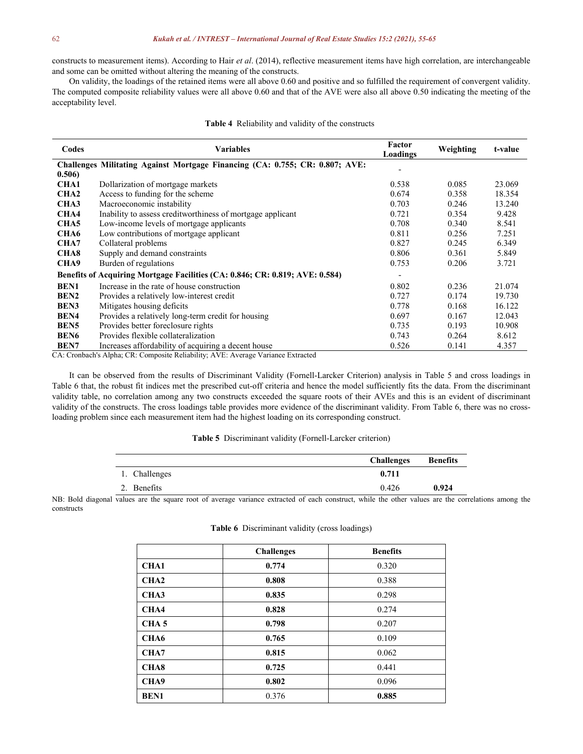constructs to measurement items). According to Hair *et al.* (2014), reflective measurement items have high correlation, are interchangeable and some can be omitted without altering the meaning of the constructs.

On validity, the loadings of the retained items were all above 0.60 and positive and so fulfilled the requirement of convergent validity. The computed composite reliability values were all above 0.60 and that of the AVE were also allabove 0.50 indicating the meeting of the acceptability level.

| Codes            | <b>Variables</b>                                                             | Factor<br>Loadings           | Weighting | t-value |
|------------------|------------------------------------------------------------------------------|------------------------------|-----------|---------|
|                  | Challenges Militating Against Mortgage Financing (CA: 0.755; CR: 0.807; AVE: |                              |           |         |
| 0.506)           |                                                                              |                              |           |         |
| <b>CHA1</b>      | Dollarization of mortgage markets                                            | 0.538                        | 0.085     | 23.069  |
| CHA <sub>2</sub> | Access to funding for the scheme                                             | 0.674                        | 0.358     | 18.354  |
| CHA3             | Macroeconomic instability                                                    | 0.703                        | 0.246     | 13.240  |
| CHA4             | Inability to assess creditworthiness of mortgage applicant                   | 0.721                        | 0.354     | 9.428   |
| CHA5             | Low-income levels of mortgage applicants                                     | 0.708                        | 0.340     | 8.541   |
| CHA6             | Low contributions of mortgage applicant                                      | 0.811                        | 0.256     | 7.251   |
| CHA7             | Collateral problems                                                          | 0.827                        | 0.245     | 6.349   |
| <b>CHA8</b>      | Supply and demand constraints                                                |                              | 0.361     | 5.849   |
| CHA9             | Burden of regulations                                                        |                              | 0.206     | 3.721   |
|                  | Benefits of Acquiring Mortgage Facilities (CA: 0.846; CR: 0.819; AVE: 0.584) | $\qquad \qquad \blacksquare$ |           |         |
| <b>BEN1</b>      | Increase in the rate of house construction                                   | 0.802                        | 0.236     | 21.074  |
| BEN2             | Provides a relatively low-interest credit                                    | 0.727                        | 0.174     | 19.730  |
| <b>BEN3</b>      | Mitigates housing deficits                                                   | 0.778                        | 0.168     | 16.122  |
| <b>BEN4</b>      | Provides a relatively long-term credit for housing                           | 0.697                        | 0.167     | 12.043  |
| BEN <sub>5</sub> | Provides better foreclosure rights                                           | 0.735                        | 0.193     | 10.908  |
| <b>BEN6</b>      | Provides flexible collateralization                                          | 0.743                        | 0.264     | 8.612   |
| <b>BEN7</b>      | Increases affordability of acquiring a decent house                          | 0.526                        | 0.141     | 4.357   |

#### **Table 4** Reliability and validity of the constructs

CA: Cronbach's Alpha; CR: Composite Reliability; AVE: Average Variance Extracted

It can be observed from the results of Discriminant Validity (Fornell-Larcker Criterion) analysis in Table 5 and cross loadings in Table 6 that, the robust fit indices met the prescribed cut-off criteria and hence the model sufficiently fits the data. From the discriminant validity table, no correlation among any two constructs exceeded the square roots of their AVEs and this is an evident of discriminant validity of the constructs. The cross loadings table provides more evidence of the discriminant validity. From Table 6, there was no crossloading problem since each measurement item had the highest loading on its corresponding construct.

## **Table 5** Discriminant validity (Fornell-Larcker criterion)

|               | <b>Challenges</b> | <b>Benefits</b> |
|---------------|-------------------|-----------------|
| 1. Challenges | 0.711             |                 |
| 2. Benefits   | 0.426             | 0.924           |

NB: Bold diagonal values are the square root of average variance extracted of each construct, while the other values are the correlations among the constructs

|                  | <b>Challenges</b> | <b>Benefits</b> |
|------------------|-------------------|-----------------|
| CHA1             | 0.774             | 0.320           |
| CHA <sub>2</sub> | 0.808             | 0.388           |
| CHA3             | 0.835             | 0.298           |
| CHA4             | 0.828             | 0.274           |
| CHA <sub>5</sub> | 0.798             | 0.207           |
| CHA <sub>6</sub> | 0.765             | 0.109           |
| CHA7             | 0.815             | 0.062           |
| CHA <sub>8</sub> | 0.725             | 0.441           |
| CHA <sub>9</sub> | 0.802             | 0.096           |
| <b>BEN1</b>      | 0.376             | 0.885           |

## **Table 6** Discriminant validity (cross loadings)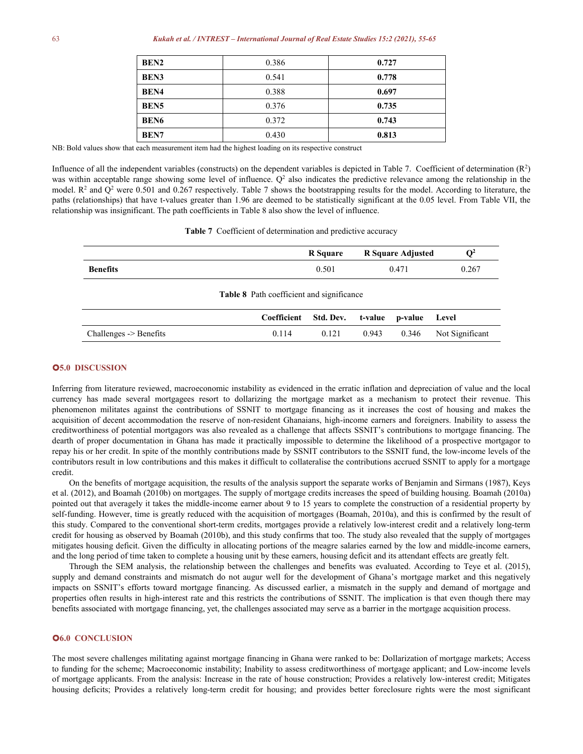| BEN <sub>2</sub> | 0.386 | 0.727 |
|------------------|-------|-------|
| <b>BEN3</b>      | 0.541 | 0.778 |
| <b>BEN4</b>      | 0.388 | 0.697 |
| <b>BEN5</b>      | 0.376 | 0.735 |
| <b>BEN6</b>      | 0.372 | 0.743 |
| <b>BEN7</b>      | 0.430 | 0.813 |

NB: Bold values show that each measurement item had the highest loading on its respective construct

Influence of all the independent variables (constructs) on the dependent variables is depicted in Table 7. Coefficient of determination  $(R^2)$  $\binom{2}{ }$ was within acceptable range showing some level of influence.  $Q<sup>2</sup>$  also indicates the predictive relevance among the relationship in the model.  $\mathbb{R}^2$  and  $\mathbb{Q}^2$  were 0.501 and 0.267 respectively. Table 7 shows the bootstrapping results for the model. According to literature, the paths (relationships) that have t-values greater than 1.96 are deemed to be statistically significant at the 0.05 level. From Table VII, the relationship was insignificant. The path coefficients in Table 8 also show the level of influence.

**Table 7** Coefficient of determination and predictive accuracy

|                                                  |       | <b>R</b> Square       |         | <b>R</b> Square Adjusted | $\mathbf{Q}^2$  |  |  |  |  |
|--------------------------------------------------|-------|-----------------------|---------|--------------------------|-----------------|--|--|--|--|
| <b>Benefits</b>                                  |       | 0.501                 | 0.471   |                          | 0.267           |  |  |  |  |
| <b>Table 8</b> Path coefficient and significance |       |                       |         |                          |                 |  |  |  |  |
|                                                  |       | Coefficient Std. Dev. | t-value | p-value                  | Level           |  |  |  |  |
| Challenges -> Benefits                           | 0.114 | 0.121                 | 0.943   | 0.346                    | Not Significant |  |  |  |  |

## **5.0 DISCUSSION**

Inferring from literature reviewed, macroeconomic instability as evidenced in the erratic inflation and depreciation of value and the local currency has made several mortgagees resort to dollarizing the mortgage market as a mechanism to protect their revenue. This phenomenon militates against the contributions of SSNIT to mortgage financing as it increases the cost of housing and makes the acquisition of decent accommodation the reserve of non-resident Ghanaians, high-income earners and foreigners. Inability to assess the creditworthiness of potential mortgagors was also revealed as a challenge that affects SSNIT's contributions to mortgage financing. The dearth of proper documentation in Ghana has made it practically impossible to determine the likelihood of a prospective mortgagor to repay his or her credit. In spite of the monthly contributions made by SSNIT contributors to the SSNIT fund, the low-income levels of the contributors result in low contributions and this makes it difficult to collateralise the contributions accrued SSNIT to apply for a mortgage credit.<br>On the benefits of mortgage acquisition, the results of the analysis support the separate works of Benjamin and Sirmans (1987), Keys

et al. (2012), and Boamah (2010b) on mortgages. The supply of mortgage credits increases the speed of building housing. Boamah (2010a) pointed out that averagely it takes the middle-income earner about 9 to 15 years to complete the construction of a residential property by self-funding. However, time is greatly reduced with the acquisition of mortgages (Boamah, 2010a), and this is confirmed by the result of this study. Compared to the conventional short-term credits, mortgages provide a relatively low-interest credit and a relatively long-term credit for housing as observed by Boamah (2010b), and this study confirms that too. The study also revealed that the supply of mortgages mitigates housing deficit. Given the difficulty in allocating portions of the meagre salaries earned by the low and middle-income earners, and the long period of time taken to complete a housing unit by these earners, housing deficit and its attendant effects are greatly felt.

Through the SEM analysis, the relationship between the challenges and benefits was evaluated. According to Teye et al. (2015), supply and demand constraints and mismatch do not augur well for the development of Ghana's mortgage market and this negatively impacts on SSNIT's efforts toward mortgage financing. As discussed earlier, a mismatch in the supply and demand of mortgage and properties often results in high-interest rate and this restricts the contributions of SSNIT. The implication is that even though there may benefits associated with mortgage financing, yet, the challenges associated may serve as a barrier in the mortgage acquisition process.

## **6.0 CONCLUSION**

The most severe challenges militating against mortgage financing in Ghana were ranked to be: Dollarization of mortgage markets; Access to funding for the scheme; Macroeconomic instability; Inability to assess creditworthiness of mortgage applicant; and Low-income levels of mortgage applicants. From the analysis: Increase in the rate of house construction; Provides a relatively low-interest credit; Mitigates housing deficits; Provides a relatively long-term credit for housing; and provides better foreclosure rights were the most significant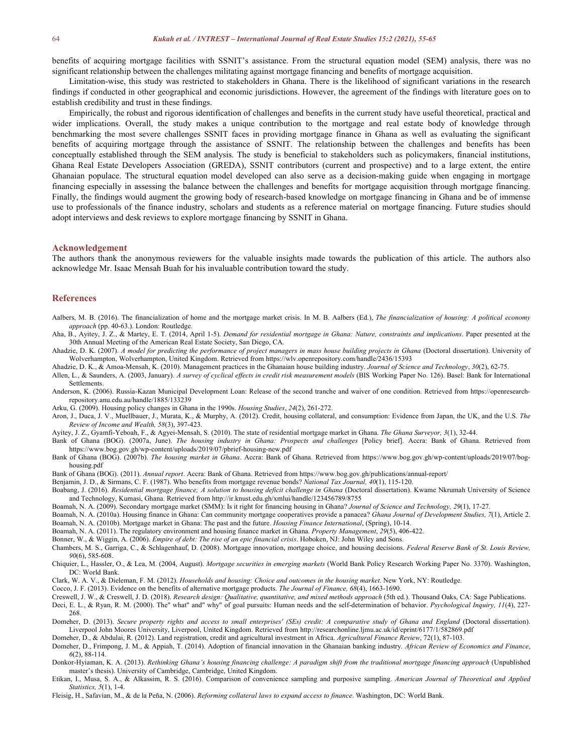benefits of acquiring mortgage facilities with SSNIT's assistance. From the structural equation model (SEM) analysis, there was no significant relationship between the challenges militating against mortgage financing and benefits ofmortgage acquisition.

Limitation-wise, this study was restricted to stakeholders in Ghana. There isthe likelihood of significant variations in the research findings if conducted in other geographical and economic jurisdictions. However, the agreement of the findings with literature goes on to establish credibility and trust in these findings.

Empirically, the robust and rigorous identification of challenges and benefits in the currentstudy have useful theoretical, practical and wider implications. Overall, the study makes a unique contribution to the mortgage and real estate body of knowledge through benchmarking the most severe challenges SSNIT faces in providing mortgage finance in Ghana as wellas evaluating the significant benefits of acquiring mortgage through the assistance of SSNIT. The relationship between the challenges and benefits has been conceptually established through the SEM analysis. The study is beneficial to stakeholders such as policymakers, financial institutions, Ghana Real Estate Developers Association (GREDA), SSNIT contributors (current and prospective) and to a large extent, the entire Ghanaian populace. The structural equation model developed can also serve as a decision-making guide when engaging in mortgage financing especially in assessing the balance between the challenges and benefits for mortgage acquisition through mortgage financing. Finally, the findings would augment the growing body of research-based knowledge on mortgage financing in Ghana and be of immense use to professionals of the finance industry, scholars and students as a reference material on mortgage financing. Future studies should adopt interviews and desk reviews to explore mortgage financing by SSNIT in Ghana.

#### **Acknowledgement**

The authors thank the anonymous reviewers for the valuable insights made towards the publication of this article. The authors also acknowledge Mr. Isaac Mensah Buah for his invaluable contribution toward the study.

#### **References**

- Aalbers, M. B. (2016). The financialization of home and the mortgage market crisis. In M. B. Aalbers (Ed.), The financialization of housing: A political economy *approach* (pp. 40-63.). London: Routledge.
- Aha, B., Ayitey, J. Z., & Martey, E. T. (2014, April 1-5). Demand for residential mortgage in Ghana: Nature, constraints and implications. Paper presented at the 30th Annual Meeting of the American Real Estate Society, San Diego, CA.
- Ahadzie, D. K. (2007). A model for predicting the performance of project managers in mass house building projects in Ghana (Doctoral dissertation). University of Wolverhampton, Wolverhampton, United Kingdom. Retrieved from https://wlv.openrepository.com/handle/2436/15393
- Ahadzie, D. K., & Amoa-Mensah, K. (2010). Management practices in the Ghanaian house building industry. *Journal of Science and Technology*, *30*(2), 62-75.
- Allen, L., & Saunders, A. (2003, January). A survey of cyclical effects in credit risk measurement models (BIS Working Paper No. 126). Basel: Bank for International Settlements.
- Anderson, K. (2006). Russia-Kazan Municipal Development Loan: Release of the second tranche and waiver of one condition. Retrieved from https://openresearchrepository.anu.edu.au/handle/1885/133239
- Arku, G. (2009). Housing policy changes in Ghana in the 1990s. *Housing Studies*, *24*(2), 261-272.
- Aron, J., Duca, J. V., Muellbauer, J., Murata, K., & Murphy, A. (2012). Credit, housing collateral, and consumption: Evidence from Japan, the UK, and the U.S. *The Review of Incomeand Wealth, 58*(3), 397-423.
- Ayitey, J. Z., Gyamfi-Yeboah, F., & Agyei-Mensah, S. (2010). The state of residential mortgage market in Ghana. *The Ghana Surveyor, 3*(1), 32-44.
- Bank of Ghana (BOG).(2007a, June). *The housing industry in Ghana: Prospects and challenges* [Policy brief]. Accra: Bank of Ghana.Retrieved from https://www.bog.gov.gh/wp-content/uploads/2019/07/pbrief-housing-new.pdf
- Bank of Ghana (BOG). (2007b). *The housing market in Ghana*. Accra: Bank of Ghana. Retrieved from https://www.bog.gov.gh/wp-content/uploads/2019/07/bog housing.pdf
- Bank of Ghana (BOG). (2011). *Annual report*. Accra: Bank of Ghana. Retrieved from https://www.bog.gov.gh/publications/annual-report/
- Benjamin, J. D., & Sirmans, C. F. (1987). Who benefits from mortgage revenue bonds? *National Tax Journal,40*(1), 115-120.
- Boabang, J. (2016). Residential mortgage finance; A solution to housing deficit challenge in Ghana (Doctoral dissertation). Kwame Nkrumah University of Science and Technology, Kumasi, Ghana. Retrieved from http://ir.knust.edu.gh/xmlui/handle/123456789/8755
- Boamah, N. A. (2009). Secondary mortgage market (SMM): Is it right for financing housing in Ghana? *Journal of Science and Technology, 29*(1), 17-27.
- Boamah, N. A. (2010a). Housing finance in Ghana: Can community mortgage cooperatives provide a panacea? *Ghana Journal of Development Studies, 7*(1), Article 2. Boamah, N. A. (2010b). Mortgage market in Ghana: The past and the future. *Housing Finance International*, (Spring), 10-14.
- Boamah, N. A. (2011). The regulatory environment and housing finance market in Ghana. *Property Management*, *29*(5), 406-422.
- Bonner, W., & Wiggin, A. (2006). *Empire of debt: The rise of an epic financial crisis*. Hoboken, NJ: John Wiley and Sons.
- Chambers, M. S., Garriga, C., & Schlagenhauf, D. (2008). Mortgage innovation, mortgage choice, and housing decisions. *Federal Reserve Bank of St. Louis Review, 90*(6), 585-608.
- Chiquier, L., Hassler, O., & Lea, M. (2004, August). *Mortgage securities in emerging markets* (World Bank Policy Research Working Paper No. 3370). Washington, DC: World Bank.
- Clark, W. A. V., & Dieleman, F. M. (2012).*Households and housing: Choice and outcomes in the housing market*. New York, NY: Routledge.
- Cocco, J. F. (2013). Evidence on the benefits of alternative mortgage products. *The Journal of Finance*, 68(4), 1663-1690.

Creswell, J. W., & Creswell, J. D. (2018). Research design: Qualitative, quantitative, and mixed methods approach (5th ed.). Thousand Oaks, CA: Sage Publications.

- Deci, E. L., & Ryan, R. M. (2000). The" what" and" why" of goal pursuits: Human needs and the self-determination of behavior. *Psychological Inquiry, 11*(4), 227- 268.
- Domeher, D. (2013). Secure property rights and access to small enterprises' (SEs) credit: A comparative study of Ghana and England (Doctoral dissertation). Liverpool John Moores University, Liverpool, United Kingdom. Retrieved from http://researchonline.ljmu.ac.uk/id/eprint/6177/1/582869.pdf
- Domeher, D., & Abdulai, R. (2012). Land registration, credit and agricultural investment in Africa. *Agricultural Finance Review*, 72(1), 87-103.
- Domeher, D., Frimpong, J. M., & Appiah, T. (2014). Adoption of financial innovation in the Ghanaian banking industry. *African Review ofEconomics and Finance*, *6*(2), 88-114.
- Donkor-Hyiaman, K. A. (2013). Rethinking Ghana's housing financing challenge: A paradigm shift from the traditional mortgage financing approach (Unpublished master's thesis). University of Cambridge, Cambridge, United Kingdom.
- Etikan, I., Musa, S. A., & Alkassim, R. S. (2016). Comparison of convenience sampling and purposive sampling. *American Journal of Theoretical and Applied Statistics, 5*(1), 1-4.
- Fleisig, H., Safavian, M., & de la Peña, N.(2006). *Reforming collateral laws to expand access to finance*. Washington, DC: World Bank.